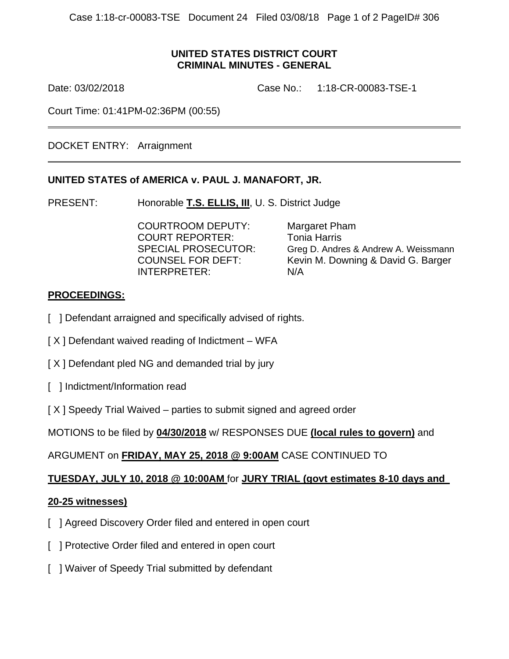### **UNITED STATES DISTRICT COURT CRIMINAL MINUTES - GENERAL**

 $\overline{a}$ 

Date: 03/02/2018 Case No.: 1:18-CR-00083-TSE-1

Court Time: 01:41PM-02:36PM (00:55)

DOCKET ENTRY: Arraignment

### **UNITED STATES of AMERICA v. PAUL J. MANAFORT, JR.**

PRESENT: Honorable **T.S. ELLIS, III**, U. S. District Judge

 COURTROOM DEPUTY: Margaret Pham COURT REPORTER: Tonia Harris INTERPRETER: N/A

SPECIAL PROSECUTOR: Greg D. Andres & Andrew A. Weissmann COUNSEL FOR DEFT: Kevin M. Downing & David G. Barger

# **PROCEEDINGS:**

- [ ] Defendant arraigned and specifically advised of rights.
- $[X]$  Defendant waived reading of Indictment WFA
- [X] Defendant pled NG and demanded trial by jury
- [ ] Indictment/Information read
- [ X ] Speedy Trial Waived parties to submit signed and agreed order

MOTIONS to be filed by **04/30/2018** w/ RESPONSES DUE **(local rules to govern)** and

# ARGUMENT on **FRIDAY, MAY 25, 2018 @ 9:00AM** CASE CONTINUED TO

# **TUESDAY, JULY 10, 2018 @ 10:00AM** for **JURY TRIAL (govt estimates 8-10 days and**

### **20-25 witnesses)**

- [ ] Agreed Discovery Order filed and entered in open court
- [ ] Protective Order filed and entered in open court
- [ ] Waiver of Speedy Trial submitted by defendant